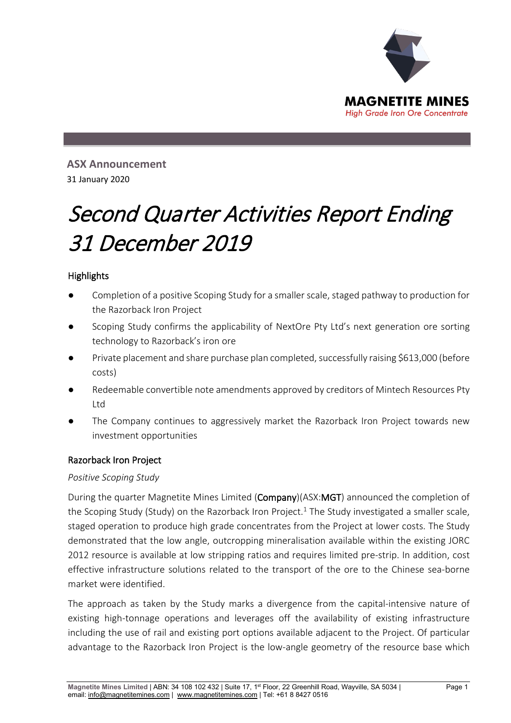

**ASX Announcement**  31 January 2020

# Second Quarter Activities Report Ending 31 December 2019

# **Highlights**

- Completion of a positive Scoping Study for a smaller scale, staged pathway to production for the Razorback Iron Project
- Scoping Study confirms the applicability of NextOre Pty Ltd's next generation ore sorting technology to Razorback's iron ore
- Private placement and share purchase plan completed, successfully raising \$613,000 (before costs)
- Redeemable convertible note amendments approved by creditors of Mintech Resources Pty Ltd
- The Company continues to aggressively market the Razorback Iron Project towards new investment opportunities

# Razorback Iron Project

# *Positive Scoping Study*

During the quarter Magnetite Mines Limited (Company)(ASX:MGT) announced the completion of the Scoping Study (Study) on the Razorback Iron Project.<sup>1</sup> The Study investigated a smaller scale, staged operation to produce high grade concentrates from the Project at lower costs. The Study demonstrated that the low angle, outcropping mineralisation available within the existing JORC 2012 resource is available at low stripping ratios and requires limited pre-strip. In addition, cost effective infrastructure solutions related to the transport of the ore to the Chinese sea-borne market were identified.

The approach as taken by the Study marks a divergence from the capital-intensive nature of existing high-tonnage operations and leverages off the availability of existing infrastructure including the use of rail and existing port options available adjacent to the Project. Of particular advantage to the Razorback Iron Project is the low-angle geometry of the resource base which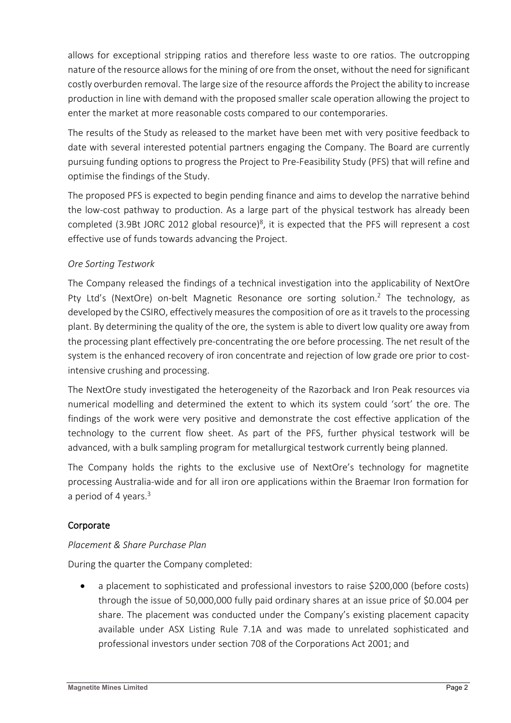allows for exceptional stripping ratios and therefore less waste to ore ratios. The outcropping nature of the resource allows for the mining of ore from the onset, without the need for significant costly overburden removal. The large size of the resource affords the Project the ability to increase production in line with demand with the proposed smaller scale operation allowing the project to enter the market at more reasonable costs compared to our contemporaries.

The results of the Study as released to the market have been met with very positive feedback to date with several interested potential partners engaging the Company. The Board are currently pursuing funding options to progress the Project to Pre-Feasibility Study (PFS) that will refine and optimise the findings of the Study.

The proposed PFS is expected to begin pending finance and aims to develop the narrative behind the low-cost pathway to production. As a large part of the physical testwork has already been completed (3.9Bt JORC 2012 global resource)<sup>8</sup>, it is expected that the PFS will represent a cost effective use of funds towards advancing the Project.

# *Ore Sorting Testwork*

The Company released the findings of a technical investigation into the applicability of NextOre Pty Ltd's (NextOre) on-belt Magnetic Resonance ore sorting solution.<sup>2</sup> The technology, as developed by the CSIRO, effectively measures the composition of ore as it travels to the processing plant. By determining the quality of the ore, the system is able to divert low quality ore away from the processing plant effectively pre-concentrating the ore before processing. The net result of the system is the enhanced recovery of iron concentrate and rejection of low grade ore prior to costintensive crushing and processing.

The NextOre study investigated the heterogeneity of the Razorback and Iron Peak resources via numerical modelling and determined the extent to which its system could 'sort' the ore. The findings of the work were very positive and demonstrate the cost effective application of the technology to the current flow sheet. As part of the PFS, further physical testwork will be advanced, with a bulk sampling program for metallurgical testwork currently being planned.

The Company holds the rights to the exclusive use of NextOre's technology for magnetite processing Australia-wide and for all iron ore applications within the Braemar Iron formation for a period of 4 years. $3$ 

# **Corporate**

# *Placement & Share Purchase Plan*

During the quarter the Company completed:

a placement to sophisticated and professional investors to raise \$200,000 (before costs) through the issue of 50,000,000 fully paid ordinary shares at an issue price of \$0.004 per share. The placement was conducted under the Company's existing placement capacity available under ASX Listing Rule 7.1A and was made to unrelated sophisticated and professional investors under section 708 of the Corporations Act 2001; and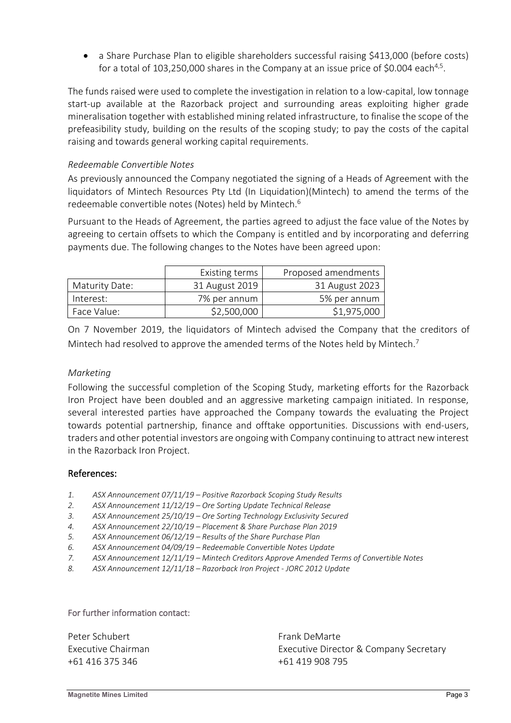• a Share Purchase Plan to eligible shareholders successful raising \$413,000 (before costs) for a total of 103,250,000 shares in the Company at an issue price of \$0.004 each<sup>4,5</sup>.

The funds raised were used to complete the investigation in relation to a low-capital, low tonnage start-up available at the Razorback project and surrounding areas exploiting higher grade mineralisation together with established mining related infrastructure, to finalise the scope of the prefeasibility study, building on the results of the scoping study; to pay the costs of the capital raising and towards general working capital requirements.

### *Redeemable Convertible Notes*

As previously announced the Company negotiated the signing of a Heads of Agreement with the liquidators of Mintech Resources Pty Ltd (In Liquidation)(Mintech) to amend the terms of the redeemable convertible notes (Notes) held by Mintech.<sup>6</sup>

Pursuant to the Heads of Agreement, the parties agreed to adjust the face value of the Notes by agreeing to certain offsets to which the Company is entitled and by incorporating and deferring payments due. The following changes to the Notes have been agreed upon:

|                | Existing terms | Proposed amendments |
|----------------|----------------|---------------------|
| Maturity Date: | 31 August 2019 | 31 August 2023      |
| Interest:      | 7% per annum   | 5% per annum        |
| Face Value:    | \$2,500,000    | \$1,975,000         |

On 7 November 2019, the liquidators of Mintech advised the Company that the creditors of Mintech had resolved to approve the amended terms of the Notes held by Mintech.<sup>7</sup>

# *Marketing*

Following the successful completion of the Scoping Study, marketing efforts for the Razorback Iron Project have been doubled and an aggressive marketing campaign initiated. In response, several interested parties have approached the Company towards the evaluating the Project towards potential partnership, finance and offtake opportunities. Discussions with end-users, traders and other potential investors are ongoing with Company continuing to attract new interest in the Razorback Iron Project.

### References:

- *1. ASX Announcement 07/11/19 – Positive Razorback Scoping Study Results*
- *2. ASX Announcement 11/12/19 – Ore Sorting Update Technical Release*
- *3. ASX Announcement 25/10/19 – Ore Sorting Technology Exclusivity Secured*
- *4. ASX Announcement 22/10/19 – Placement & Share Purchase Plan 2019*
- *5. ASX Announcement 06/12/19 – Results of the Share Purchase Plan*
- *6. ASX Announcement 04/09/19 – Redeemable Convertible Notes Update*
- *7. ASX Announcement 12/11/19 – Mintech Creditors Approve Amended Terms of Convertible Notes*
- *8. ASX Announcement 12/11/18 – Razorback Iron Project - JORC 2012 Update*

### For further information contact:

| Peter Schubert     | Frank DeMarte                          |
|--------------------|----------------------------------------|
| Executive Chairman | Executive Director & Company Secretary |
| +61 416 375 346    | +61 419 908 795                        |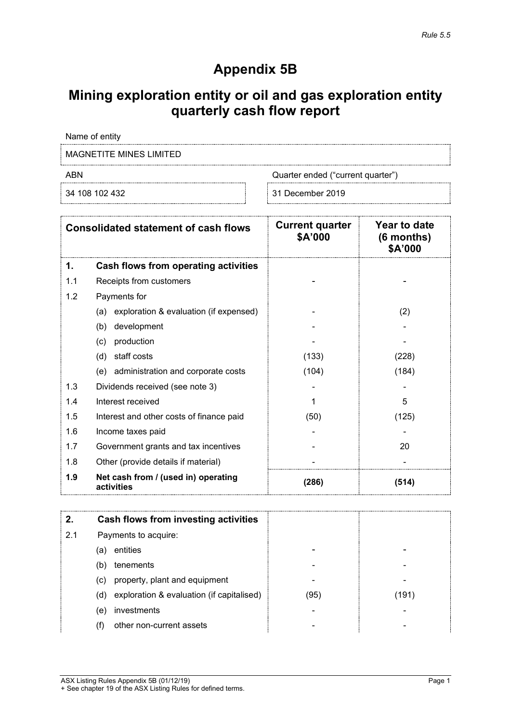# **Appendix 5B**

# **Mining exploration entity or oil and gas exploration entity quarterly cash flow report**

Name of entity

MAGNETITE MINES LIMITED

ABN ABN Quarter ended ("current quarter")

34 108 102 432 31 December 2019

| <b>Consolidated statement of cash flows</b> |                                                   | <b>Current quarter</b><br>\$A'000 | Year to date<br>$(6$ months)<br>\$A'000 |
|---------------------------------------------|---------------------------------------------------|-----------------------------------|-----------------------------------------|
| 1.                                          | <b>Cash flows from operating activities</b>       |                                   |                                         |
| 1.1                                         | Receipts from customers                           |                                   |                                         |
| 1.2                                         | Payments for                                      |                                   |                                         |
|                                             | exploration & evaluation (if expensed)<br>(a)     |                                   | (2)                                     |
|                                             | development<br>(b)                                |                                   |                                         |
|                                             | production<br>(c)                                 |                                   |                                         |
|                                             | (d)<br>staff costs                                | (133)                             | (228)                                   |
|                                             | (e) administration and corporate costs            | (104)                             | (184)                                   |
| 1.3                                         | Dividends received (see note 3)                   |                                   |                                         |
| 1.4                                         | Interest received                                 | 1                                 | 5                                       |
| 1.5                                         | Interest and other costs of finance paid          | (50)                              | (125)                                   |
| 1.6                                         | Income taxes paid                                 |                                   |                                         |
| 1.7                                         | Government grants and tax incentives              |                                   | 20                                      |
| 1.8                                         | Other (provide details if material)               |                                   |                                         |
| 1.9                                         | Net cash from / (used in) operating<br>activities | (286)                             | (514)                                   |

|     |     | Cash flows from investing activities      |      |       |
|-----|-----|-------------------------------------------|------|-------|
| 2.1 |     | Payments to acquire:                      |      |       |
|     | (a) | entities                                  |      |       |
|     | (b) | tenements                                 |      |       |
|     | (c) | property, plant and equipment             |      |       |
|     | (d) | exploration & evaluation (if capitalised) | (95) | (191) |
|     | (e) | investments                               |      |       |
|     |     | other non-current assets                  |      |       |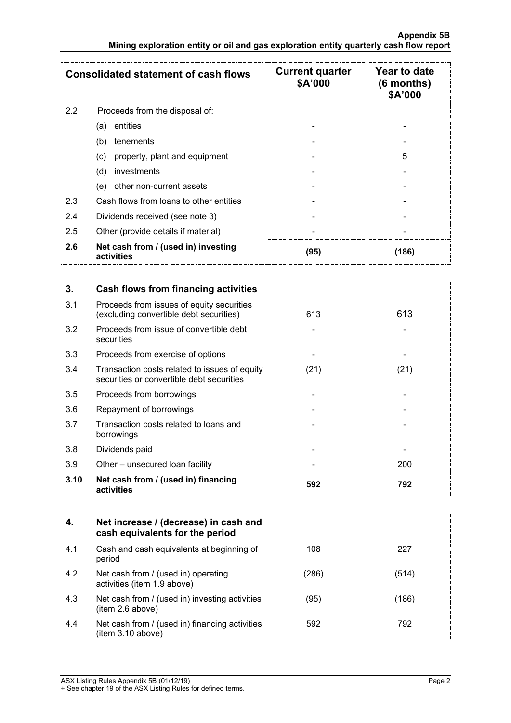| <b>Consolidated statement of cash flows</b> |                                                   | <b>Current quarter</b><br>\$A'000 | Year to date<br>$(6$ months)<br>\$A'000 |
|---------------------------------------------|---------------------------------------------------|-----------------------------------|-----------------------------------------|
| $2.2^{\circ}$                               | Proceeds from the disposal of:                    |                                   |                                         |
|                                             | entities<br>(a)                                   |                                   |                                         |
|                                             | (b)<br>tenements                                  |                                   |                                         |
|                                             | property, plant and equipment<br>(c)              |                                   | 5                                       |
|                                             | investments<br>(d)                                |                                   |                                         |
|                                             | other non-current assets<br>(e)                   |                                   |                                         |
| 2.3                                         | Cash flows from loans to other entities           |                                   |                                         |
| 2.4                                         | Dividends received (see note 3)                   |                                   |                                         |
| 2.5                                         | Other (provide details if material)               |                                   |                                         |
| 2.6                                         | Net cash from / (used in) investing<br>activities | (95)                              | (186)                                   |

| 3.   | Cash flows from financing activities                                                       |      |      |
|------|--------------------------------------------------------------------------------------------|------|------|
| 3.1  | Proceeds from issues of equity securities<br>(excluding convertible debt securities)       | 613  | 613  |
| 3.2  | Proceeds from issue of convertible debt<br>securities                                      |      |      |
| 3.3  | Proceeds from exercise of options                                                          |      |      |
| 3.4  | Transaction costs related to issues of equity<br>securities or convertible debt securities | (21) | (21) |
| 3.5  | Proceeds from borrowings                                                                   |      |      |
| 3.6  | Repayment of borrowings                                                                    |      |      |
| 3.7  | Transaction costs related to loans and<br>borrowings                                       |      |      |
| 3.8  | Dividends paid                                                                             |      |      |
| 3.9  | Other – unsecured loan facility                                                            |      | 200  |
| 3.10 | Net cash from / (used in) financing<br>activities                                          | 592  | 792  |

|     | Net increase / (decrease) in cash and<br>cash equivalents for the period |      |       |
|-----|--------------------------------------------------------------------------|------|-------|
| 4.1 | Cash and cash equivalents at beginning of<br>period                      | 108  | 227   |
| 4.2 | Net cash from / (used in) operating<br>activities (item 1.9 above)       | 286  | (514) |
| 4.3 | Net cash from / (used in) investing activities<br>(item 2.6 above)       | (95) | 186   |
| 4.4 | Net cash from / (used in) financing activities<br>(item 3.10 above)      | 592  | 792   |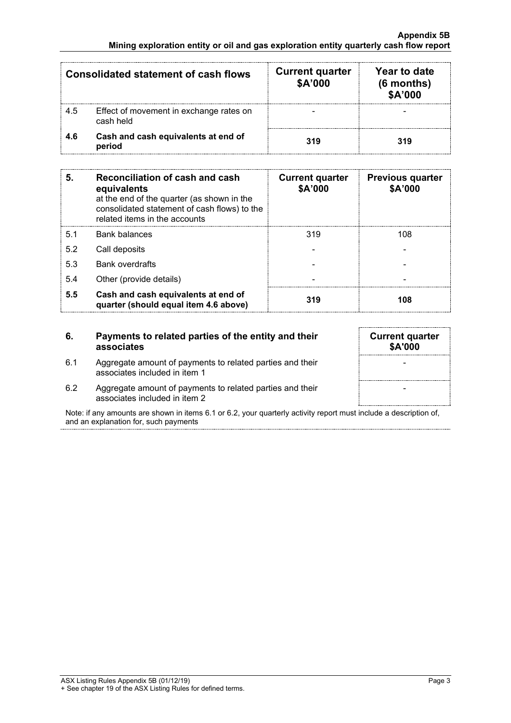| <b>Consolidated statement of cash flows</b> |                                                      | <b>Current quarter</b><br>\$A'000 | Year to date<br>$(6$ months)<br><b>\$A'000</b> |
|---------------------------------------------|------------------------------------------------------|-----------------------------------|------------------------------------------------|
| 4.5                                         | Effect of movement in exchange rates on<br>cash held |                                   |                                                |
| 4.6                                         | Cash and cash equivalents at end of<br>period        | 319                               | 319                                            |

| 5.  | Reconciliation of cash and cash<br>equivalents<br>at the end of the quarter (as shown in the<br>consolidated statement of cash flows) to the<br>related items in the accounts | <b>Current quarter</b><br>\$A'000 | <b>Previous quarter</b><br>\$A'000 |
|-----|-------------------------------------------------------------------------------------------------------------------------------------------------------------------------------|-----------------------------------|------------------------------------|
| 5.1 | <b>Bank balances</b>                                                                                                                                                          | 319                               | 108                                |
| 5.2 | Call deposits                                                                                                                                                                 |                                   |                                    |
| 5.3 | <b>Bank overdrafts</b>                                                                                                                                                        |                                   |                                    |
| 5.4 | Other (provide details)                                                                                                                                                       |                                   |                                    |
| 5.5 | Cash and cash equivalents at end of<br>quarter (should equal item 4.6 above)                                                                                                  | 319                               | 108                                |

### **6. Payments to related parties of the entity and their associates**

- 6.1 Aggregate amount of payments to related parties and their associates included in item 1
- 6.2 Aggregate amount of payments to related parties and their associates included in item 2

Note: if any amounts are shown in items 6.1 or 6.2, your quarterly activity report must include a description of, and an explanation for, such payments

|  |  | \$A'000 | <b>Current quarter</b> |  |
|--|--|---------|------------------------|--|
|  |  |         |                        |  |
|  |  |         |                        |  |
|  |  |         |                        |  |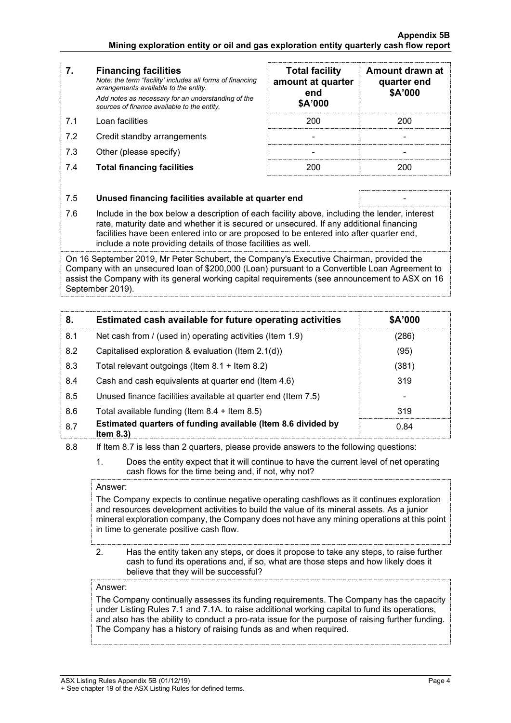### **7. Financing facilities**

*Note: the term "facility' includes all forms of financing arrangements available to the entity. Add notes as necessary for an understanding of the sources of finance available to the entity.*

- 7.1 Loan facilities
- 7.2 Credit standby arrangements
- $7.3$  Other (please specify)
- **7.4 Total financing facilities**

| <b>Total facility</b><br>amount at quarter<br>end<br>\$A'000 | Amount drawn at<br>quarter end<br>\$A'000 |
|--------------------------------------------------------------|-------------------------------------------|
| 200                                                          | 200                                       |
|                                                              |                                           |
|                                                              |                                           |
|                                                              |                                           |

### 7.5 **Unused financing facilities available at quarter end** -

7.6 Include in the box below a description of each facility above, including the lender, interest rate, maturity date and whether it is secured or unsecured. If any additional financing facilities have been entered into or are proposed to be entered into after quarter end, include a note providing details of those facilities as well.

On 16 September 2019, Mr Peter Schubert, the Company's Executive Chairman, provided the Company with an unsecured loan of \$200,000 (Loan) pursuant to a Convertible Loan Agreement to assist the Company with its general working capital requirements (see announcement to ASX on 16 September 2019).

| 8.  | Estimated cash available for future operating activities                   | \$A'000 |
|-----|----------------------------------------------------------------------------|---------|
| 8.1 | Net cash from / (used in) operating activities (Item 1.9)                  | 286)    |
| 8.2 | Capitalised exploration & evaluation (Item 2.1(d))                         | (95)    |
| 8.3 | Total relevant outgoings (Item $8.1 +$ Item $8.2$ )                        | (381)   |
| 8.4 | Cash and cash equivalents at quarter end (Item 4.6)                        | 319     |
| 8.5 | Unused finance facilities available at quarter end (Item 7.5)              |         |
| 8.6 | Total available funding (Item $8.4 +$ Item $8.5$ )                         | 319     |
| 8.7 | Estimated quarters of funding available (Item 8.6 divided by<br>Item $8.3$ | 0.84    |

8.8 If Item 8.7 is less than 2 quarters, please provide answers to the following questions:

1. Does the entity expect that it will continue to have the current level of net operating cash flows for the time being and, if not, why not?

### Answer:

The Company expects to continue negative operating cashflows as it continues exploration and resources development activities to build the value of its mineral assets. As a junior mineral exploration company, the Company does not have any mining operations at this point in time to generate positive cash flow.

2. Has the entity taken any steps, or does it propose to take any steps, to raise further cash to fund its operations and, if so, what are those steps and how likely does it believe that they will be successful?

### Answer:

The Company continually assesses its funding requirements. The Company has the capacity under Listing Rules 7.1 and 7.1A. to raise additional working capital to fund its operations, and also has the ability to conduct a pro-rata issue for the purpose of raising further funding. The Company has a history of raising funds as and when required.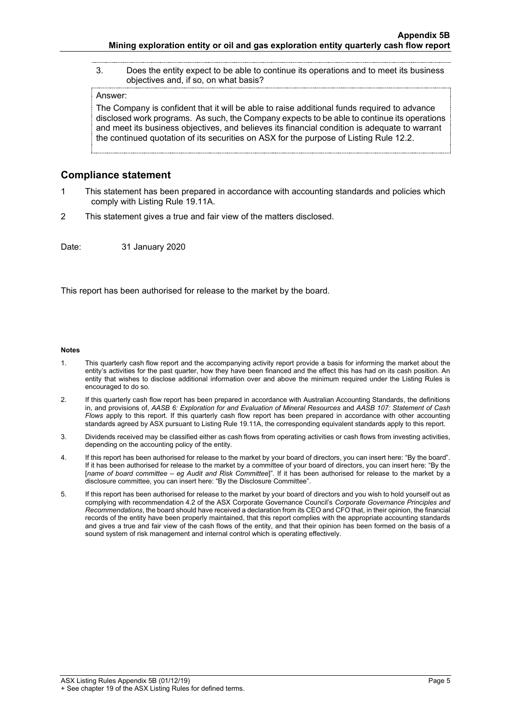3. Does the entity expect to be able to continue its operations and to meet its business objectives and, if so, on what basis?

#### Answer:

The Company is confident that it will be able to raise additional funds required to advance disclosed work programs. As such, the Company expects to be able to continue its operations and meet its business objectives, and believes its financial condition is adequate to warrant the continued quotation of its securities on ASX for the purpose of Listing Rule 12.2.

### **Compliance statement**

- 1 This statement has been prepared in accordance with accounting standards and policies which comply with Listing Rule 19.11A.
- 2 This statement gives a true and fair view of the matters disclosed.

Date: 31 January 2020

This report has been authorised for release to the market by the board.

#### **Notes**

- 1. This quarterly cash flow report and the accompanying activity report provide a basis for informing the market about the entity's activities for the past quarter, how they have been financed and the effect this has had on its cash position. An entity that wishes to disclose additional information over and above the minimum required under the Listing Rules is encouraged to do so.
- 2. If this quarterly cash flow report has been prepared in accordance with Australian Accounting Standards, the definitions in, and provisions of, *AASB 6: Exploration for and Evaluation of Mineral Resources* and *AASB 107: Statement of Cash Flows* apply to this report. If this quarterly cash flow report has been prepared in accordance with other accounting standards agreed by ASX pursuant to Listing Rule 19.11A, the corresponding equivalent standards apply to this report.
- 3. Dividends received may be classified either as cash flows from operating activities or cash flows from investing activities, depending on the accounting policy of the entity.
- 4. If this report has been authorised for release to the market by your board of directors, you can insert here: "By the board". If it has been authorised for release to the market by a committee of your board of directors, you can insert here: "By the [*name of board committee* – *eg Audit and Risk Committee*]". If it has been authorised for release to the market by a disclosure committee, you can insert here: "By the Disclosure Committee".
- 5. If this report has been authorised for release to the market by your board of directors and you wish to hold yourself out as complying with recommendation 4.2 of the ASX Corporate Governance Council's *Corporate Governance Principles and Recommendations*, the board should have received a declaration from its CEO and CFO that, in their opinion, the financial records of the entity have been properly maintained, that this report complies with the appropriate accounting standards and gives a true and fair view of the cash flows of the entity, and that their opinion has been formed on the basis of a sound system of risk management and internal control which is operating effectively.